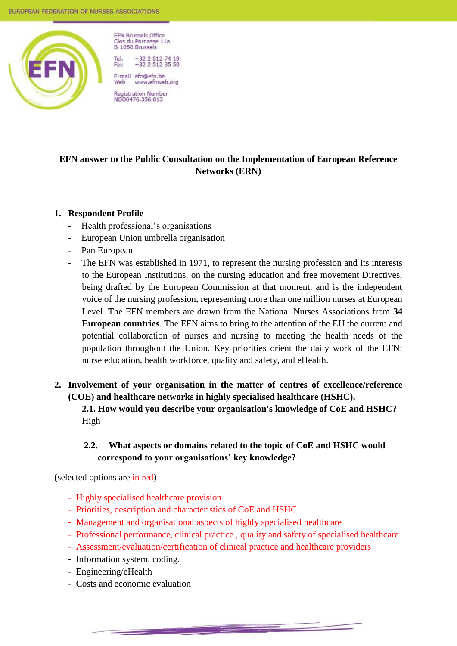

**FFN Brussels Office** Clos du Parnasse 11a B-1050 Brussels Tol

+32 2 512 74 19<br>+32 2 512 35 50 Fax

F-mail efn@efn.be www.efnweb.org Web Registration Number<br>NGO0476.356.013

**EFN answer to the Public Consultation on the Implementation of European Reference Networks (ERN)**

### **1. Respondent Profile**

- Health professional's organisations
- European Union umbrella organisation
- Pan European
- The EFN was established in 1971, to represent the nursing profession and its interests to the European Institutions, on the nursing education and free movement Directives, being drafted by the European Commission at that moment, and is the independent voice of the nursing profession, representing more than one million nurses at European Level. The EFN members are drawn from the National Nurses Associations from **34 European countries**. The EFN aims to bring to the attention of the EU the current and potential collaboration of nurses and nursing to meeting the health needs of the population throughout the Union. Key priorities orient the daily work of the EFN: nurse education, health workforce, quality and safety, and eHealth.
- **2. Involvement of your organisation in the matter of centres of excellence/reference (COE) and healthcare networks in highly specialised healthcare (HSHC).**

**2.1. How would you describe your organisation's knowledge of CoE and HSHC?** High

# **2.2. What aspects or domains related to the topic of CoE and HSHC would correspond to your organisations' key knowledge?**

(selected options are in red)

- Highly specialised healthcare provision
- Priorities, description and characteristics of CoE and HSHC
- Management and organisational aspects of highly specialised healthcare
- Professional performance, clinical practice , quality and safety of specialised healthcare
- Assessment/evaluation/certification of clinical practice and healthcare providers

- Information system, coding.
- Engineering/eHealth
- Costs and economic evaluation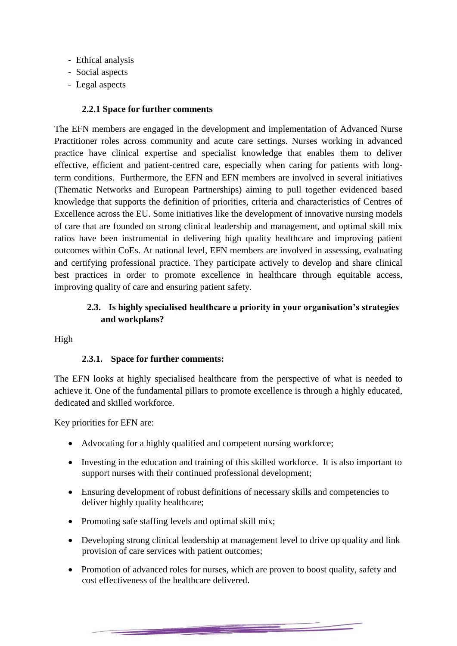- Ethical analysis
- Social aspects
- Legal aspects

#### **2.2.1 Space for further comments**

The EFN members are engaged in the development and implementation of Advanced Nurse Practitioner roles across community and acute care settings. Nurses working in advanced practice have clinical expertise and specialist knowledge that enables them to deliver effective, efficient and patient-centred care, especially when caring for patients with longterm conditions. Furthermore, the EFN and EFN members are involved in several initiatives (Thematic Networks and European Partnerships) aiming to pull together evidenced based knowledge that supports the definition of priorities, criteria and characteristics of Centres of Excellence across the EU. Some initiatives like the development of innovative nursing models of care that are founded on strong clinical leadership and management, and optimal skill mix ratios have been instrumental in delivering high quality healthcare and improving patient outcomes within CoEs. At national level, EFN members are involved in assessing, evaluating and certifying professional practice. They participate actively to develop and share clinical best practices in order to promote excellence in healthcare through equitable access, improving quality of care and ensuring patient safety.

# **2.3. Is highly specialised healthcare a priority in your organisation's strategies and workplans?**

High

### **2.3.1. Space for further comments:**

The EFN looks at highly specialised healthcare from the perspective of what is needed to achieve it. One of the fundamental pillars to promote excellence is through a highly educated, dedicated and skilled workforce.

Key priorities for EFN are:

- Advocating for a highly qualified and competent nursing workforce;
- Investing in the education and training of this skilled workforce. It is also important to support nurses with their continued professional development;
- Ensuring development of robust definitions of necessary skills and competencies to deliver highly quality healthcare;
- Promoting safe staffing levels and optimal skill mix;
- Developing strong clinical leadership at management level to drive up quality and link provision of care services with patient outcomes;
- Promotion of advanced roles for nurses, which are proven to boost quality, safety and cost effectiveness of the healthcare delivered.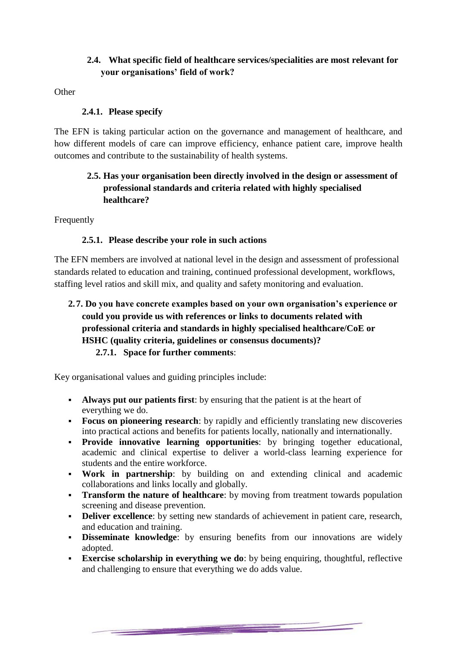# **2.4. What specific field of healthcare services/specialities are most relevant for your organisations' field of work?**

**Other** 

# **2.4.1. Please specify**

The EFN is taking particular action on the governance and management of healthcare, and how different models of care can improve efficiency, enhance patient care, improve health outcomes and contribute to the sustainability of health systems.

# **2.5. Has your organisation been directly involved in the design or assessment of professional standards and criteria related with highly specialised healthcare?**

Frequently

## **2.5.1. Please describe your role in such actions**

The EFN members are involved at national level in the design and assessment of professional standards related to education and training, continued professional development, workflows, staffing level ratios and skill mix, and quality and safety monitoring and evaluation.

**2.7. Do you have concrete examples based on your own organisation's experience or could you provide us with references or links to documents related with professional criteria and standards in highly specialised healthcare/CoE or HSHC (quality criteria, guidelines or consensus documents)? 2.7.1. Space for further comments**:

Key organisational values and guiding principles include:

- **Always put our patients first**: by ensuring that the patient is at the heart of everything we do.
- **Focus on pioneering research**: by rapidly and efficiently translating new discoveries into practical actions and benefits for patients locally, nationally and internationally.
- **Provide innovative learning opportunities**: by bringing together educational, academic and clinical expertise to deliver a world-class learning experience for students and the entire workforce.
- **Work in partnership**: by building on and extending clinical and academic collaborations and links locally and globally.
- **Transform the nature of healthcare:** by moving from treatment towards population screening and disease prevention.
- **Deliver excellence**: by setting new standards of achievement in patient care, research, and education and training.
- **- Disseminate knowledge**: by ensuring benefits from our innovations are widely adopted.
- **Exercise scholarship in everything we do**: by being enquiring, thoughtful, reflective and challenging to ensure that everything we do adds value.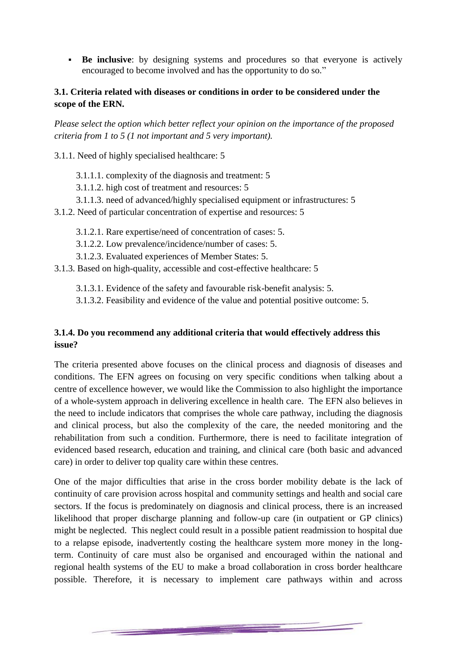**Be inclusive:** by designing systems and procedures so that everyone is actively encouraged to become involved and has the opportunity to do so."

## **3.1. Criteria related with diseases or conditions in order to be considered under the scope of the ERN.**

*Please select the option which better reflect your opinion on the importance of the proposed criteria from 1 to 5 (1 not important and 5 very important).* 

3.1.1. Need of highly specialised healthcare: 5

- 3.1.1.1. complexity of the diagnosis and treatment: 5
- 3.1.1.2. high cost of treatment and resources: 5
- 3.1.1.3. need of advanced/highly specialised equipment or infrastructures: 5
- 3.1.2. Need of particular concentration of expertise and resources: 5
	- 3.1.2.1. Rare expertise/need of concentration of cases: 5.
	- 3.1.2.2. Low prevalence/incidence/number of cases: 5.
	- 3.1.2.3. Evaluated experiences of Member States: 5.

3.1.3. Based on high-quality, accessible and cost-effective healthcare: 5

3.1.3.1. Evidence of the safety and favourable risk-benefit analysis: 5.

3.1.3.2. Feasibility and evidence of the value and potential positive outcome: 5.

## **3.1.4. Do you recommend any additional criteria that would effectively address this issue?**

The criteria presented above focuses on the clinical process and diagnosis of diseases and conditions. The EFN agrees on focusing on very specific conditions when talking about a centre of excellence however, we would like the Commission to also highlight the importance of a whole-system approach in delivering excellence in health care. The EFN also believes in the need to include indicators that comprises the whole care pathway, including the diagnosis and clinical process, but also the complexity of the care, the needed monitoring and the rehabilitation from such a condition. Furthermore, there is need to facilitate integration of evidenced based research, education and training, and clinical care (both basic and advanced care) in order to deliver top quality care within these centres.

One of the major difficulties that arise in the cross border mobility debate is the lack of continuity of care provision across hospital and community settings and health and social care sectors. If the focus is predominately on diagnosis and clinical process, there is an increased likelihood that proper discharge planning and follow-up care (in outpatient or GP clinics) might be neglected. This neglect could result in a possible patient readmission to hospital due to a relapse episode, inadvertently costing the healthcare system more money in the longterm. Continuity of care must also be organised and encouraged within the national and regional health systems of the EU to make a broad collaboration in cross border healthcare possible. Therefore, it is necessary to implement care pathways within and across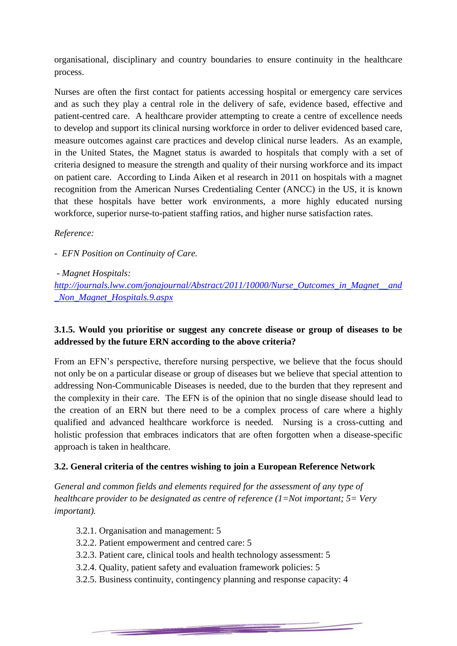organisational, disciplinary and country boundaries to ensure continuity in the healthcare process.

Nurses are often the first contact for patients accessing hospital or emergency care services and as such they play a central role in the delivery of safe, evidence based, effective and patient-centred care. A healthcare provider attempting to create a centre of excellence needs to develop and support its clinical nursing workforce in order to deliver evidenced based care, measure outcomes against care practices and develop clinical nurse leaders. As an example, in the United States, the Magnet status is awarded to hospitals that comply with a set of criteria designed to measure the strength and quality of their nursing workforce and its impact on patient care. According to Linda Aiken et al research in 2011 on hospitals with a magnet recognition from the American Nurses Credentialing Center (ANCC) in the US, it is known that these hospitals have better work environments, a more highly educated nursing workforce, superior nurse-to-patient staffing ratios, and higher nurse satisfaction rates.

### *Reference:*

*- EFN Position on Continuity of Care.*

### *- Magnet Hospitals:*

*[http://journals.lww.com/jonajournal/Abstract/2011/10000/Nurse\\_Outcomes\\_in\\_Magnet\\_\\_and](http://journals.lww.com/jonajournal/Abstract/2011/10000/Nurse_Outcomes_in_Magnet__and_Non_Magnet_Hospitals.9.aspx) [\\_Non\\_Magnet\\_Hospitals.9.aspx](http://journals.lww.com/jonajournal/Abstract/2011/10000/Nurse_Outcomes_in_Magnet__and_Non_Magnet_Hospitals.9.aspx)*

# **3.1.5. Would you prioritise or suggest any concrete disease or group of diseases to be addressed by the future ERN according to the above criteria?**

From an EFN's perspective, therefore nursing perspective, we believe that the focus should not only be on a particular disease or group of diseases but we believe that special attention to addressing Non-Communicable Diseases is needed, due to the burden that they represent and the complexity in their care. The EFN is of the opinion that no single disease should lead to the creation of an ERN but there need to be a complex process of care where a highly qualified and advanced healthcare workforce is needed. Nursing is a cross-cutting and holistic profession that embraces indicators that are often forgotten when a disease-specific approach is taken in healthcare.

# **3.2. General criteria of the centres wishing to join a European Reference Network**

*General and common fields and elements required for the assessment of any type of healthcare provider to be designated as centre of reference (1=Not important; 5= Very important).* 

- 3.2.1. Organisation and management: 5
- 3.2.2. Patient empowerment and centred care: 5
- 3.2.3. Patient care, clinical tools and health technology assessment: 5

- 3.2.4. Quality, patient safety and evaluation framework policies: 5
- 3.2.5. Business continuity, contingency planning and response capacity: 4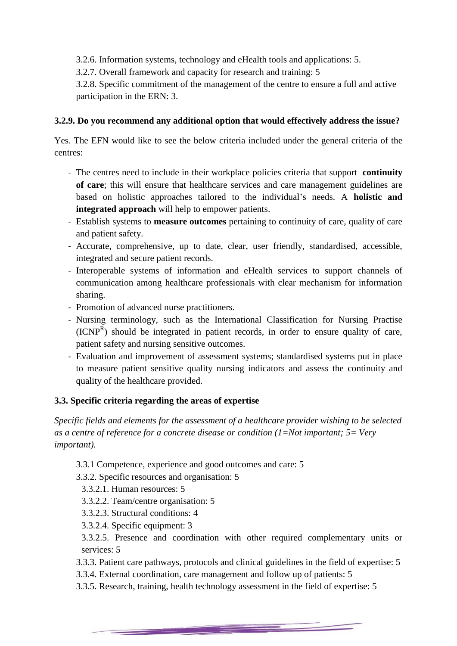3.2.6. Information systems, technology and eHealth tools and applications: 5.

3.2.7. Overall framework and capacity for research and training: 5

3.2.8. Specific commitment of the management of the centre to ensure a full and active participation in the ERN: 3.

## **3.2.9. Do you recommend any additional option that would effectively address the issue?**

Yes. The EFN would like to see the below criteria included under the general criteria of the centres:

- The centres need to include in their workplace policies criteria that support **continuity of care**; this will ensure that healthcare services and care management guidelines are based on holistic approaches tailored to the individual's needs. A **holistic and integrated approach** will help to empower patients.
- Establish systems to **measure outcomes** pertaining to continuity of care, quality of care and patient safety.
- Accurate, comprehensive, up to date, clear, user friendly, standardised, accessible, integrated and secure patient records.
- Interoperable systems of information and eHealth services to support channels of communication among healthcare professionals with clear mechanism for information sharing.
- Promotion of advanced nurse practitioners.
- Nursing terminology, such as the International Classification for Nursing Practise  $(ICNP<sup>R</sup>)$  should be integrated in patient records, in order to ensure quality of care, patient safety and nursing sensitive outcomes.
- Evaluation and improvement of assessment systems; standardised systems put in place to measure patient sensitive quality nursing indicators and assess the continuity and quality of the healthcare provided.

# **3.3. Specific criteria regarding the areas of expertise**

*Specific fields and elements for the assessment of a healthcare provider wishing to be selected as a centre of reference for a concrete disease or condition (1=Not important; 5= Very important).*

3.3.1 Competence, experience and good outcomes and care: 5

3.3.2. Specific resources and organisation: 5

- 3.3.2.1. Human resources: 5
- 3.3.2.2. Team/centre organisation: 5
- 3.3.2.3. Structural conditions: 4
- 3.3.2.4. Specific equipment: 3
- 3.3.2.5. Presence and coordination with other required complementary units or services: 5
- 3.3.3. Patient care pathways, protocols and clinical guidelines in the field of expertise: 5
- 3.3.4. External coordination, care management and follow up of patients: 5

3.3.5. Research, training, health technology assessment in the field of expertise: 5